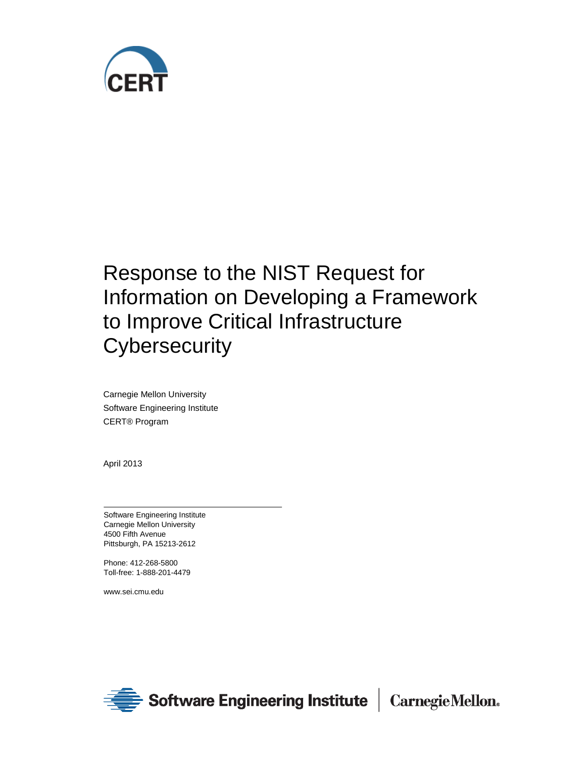

# Response to the NIST Request for Information on Developing a Framework to Improve Critical Infrastructure **Cybersecurity**

Carnegie Mellon University Software Engineering Institute CERT® Program

April 2013

Software Engineering Institute Carnegie Mellon University 4500 Fifth Avenue Pittsburgh, PA 15213-2612

Phone: 412-268-5800 Toll-free: 1-888-201-4479

www.sei.cmu.edu

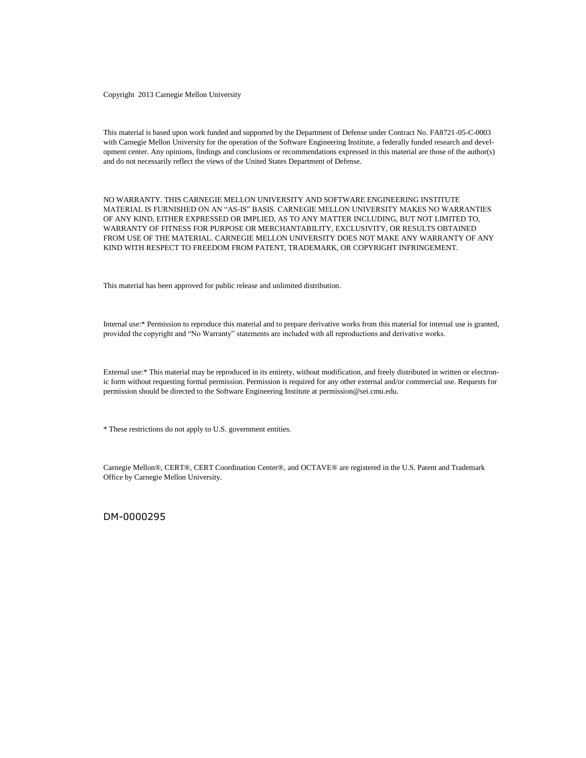Copyright 2013 Carnegie Mellon University

This material is based upon work funded and supported by the Department of Defense under Contract No. FA8721-05-C-0003 with Carnegie Mellon University for the operation of the Software Engineering Institute, a federally funded research and development center. Any opinions, findings and conclusions or recommendations expressed in this material are those of the author(s) and do not necessarily reflect the views of the United States Department of Defense.

NO WARRANTY. THIS CARNEGIE MELLON UNIVERSITY AND SOFTWARE ENGINEERING INSTITUTE MATERIAL IS FURNISHED ON AN "AS-IS" BASIS. CARNEGIE MELLON UNIVERSITY MAKES NO WARRANTIES OF ANY KIND, EITHER EXPRESSED OR IMPLIED, AS TO ANY MATTER INCLUDING, BUT NOT LIMITED TO, WARRANTY OF FITNESS FOR PURPOSE OR MERCHANTABILITY, EXCLUSIVITY, OR RESULTS OBTAINED FROM USE OF THE MATERIAL. CARNEGIE MELLON UNIVERSITY DOES NOT MAKE ANY WARRANTY OF ANY KIND WITH RESPECT TO FREEDOM FROM PATENT, TRADEMARK, OR COPYRIGHT INFRINGEMENT.

This material has been approved for public release and unlimited distribution.

Internal use:\* Permission to reproduce this material and to prepare derivative works from this material for internal use is granted, provided the copyright and "No Warranty" statements are included with all reproductions and derivative works.

External use:\* This material may be reproduced in its entirety, without modification, and freely distributed in written or electronic form without requesting formal permission. Permission is required for any other external and/or commercial use. Requests for permission should be directed to the Software Engineering Institute a[t permission@sei.cmu.edu.](mailto:permission@sei.cmu.edu)

\* These restrictions do not apply to U.S. government entities.

Carnegie Mellon®, CERT®, CERT Coordination Center®, and OCTAVE® are registered in the U.S. Patent and Trademark Office by Carnegie Mellon University.

DM-0000295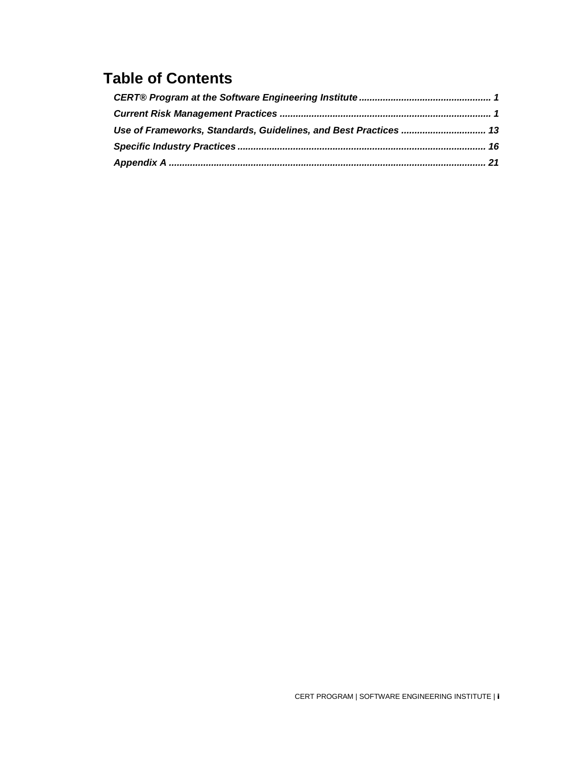# **Table of Contents**

| Use of Frameworks, Standards, Guidelines, and Best Practices  13 |  |
|------------------------------------------------------------------|--|
|                                                                  |  |
|                                                                  |  |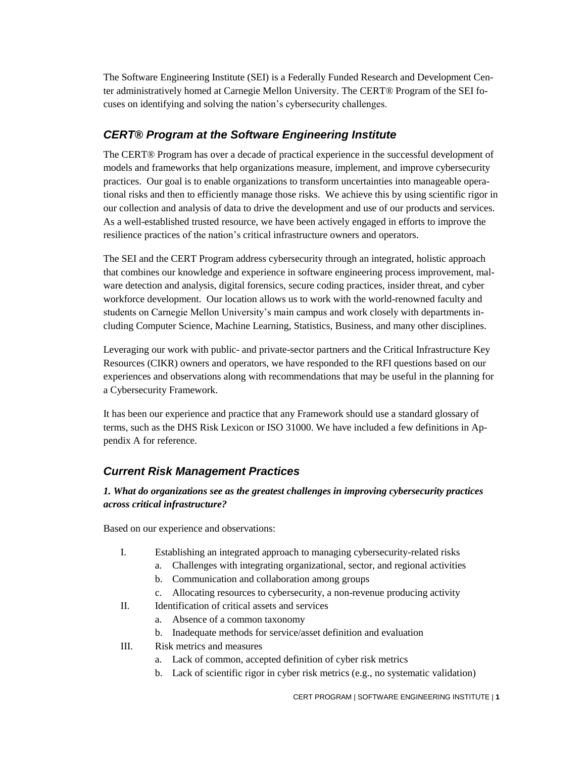The Software Engineering Institute (SEI) is a Federally Funded Research and Development Center administratively homed at Carnegie Mellon University. The CERT® Program of the SEI focuses on identifying and solving the nation's cybersecurity challenges.

# <span id="page-3-0"></span>*CERT® Program at the Software Engineering Institute*

The CERT® Program has over a decade of practical experience in the successful development of models and frameworks that help organizations measure, implement, and improve cybersecurity practices. Our goal is to enable organizations to transform uncertainties into manageable operational risks and then to efficiently manage those risks. We achieve this by using scientific rigor in our collection and analysis of data to drive the development and use of our products and services. As a well-established trusted resource, we have been actively engaged in efforts to improve the resilience practices of the nation's critical infrastructure owners and operators.

The SEI and the CERT Program address cybersecurity through an integrated, holistic approach that combines our knowledge and experience in software engineering process improvement, malware detection and analysis, digital forensics, secure coding practices, insider threat, and cyber workforce development. Our location allows us to work with the world-renowned faculty and students on Carnegie Mellon University's main campus and work closely with departments including Computer Science, Machine Learning, Statistics, Business, and many other disciplines.

Leveraging our work with public- and private-sector partners and the Critical Infrastructure Key Resources (CIKR) owners and operators, we have responded to the RFI questions based on our experiences and observations along with recommendations that may be useful in the planning for a Cybersecurity Framework.

It has been our experience and practice that any Framework should use a standard glossary of terms, such as the DHS Risk Lexicon or ISO 31000. We have included a few definitions in Appendix A for reference.

# <span id="page-3-1"></span>*Current Risk Management Practices*

#### *1. What do organizations see as the greatest challenges in improving cybersecurity practices across critical infrastructure?*

Based on our experience and observations:

- I. Establishing an integrated approach to managing cybersecurity-related risks
	- a. Challenges with integrating organizational, sector, and regional activities
		- b. Communication and collaboration among groups
		- c. Allocating resources to cybersecurity, a non-revenue producing activity
- II. Identification of critical assets and services
	- a. Absence of a common taxonomy
	- b. Inadequate methods for service/asset definition and evaluation
- III. Risk metrics and measures
	- a. Lack of common, accepted definition of cyber risk metrics
	- b. Lack of scientific rigor in cyber risk metrics (e.g., no systematic validation)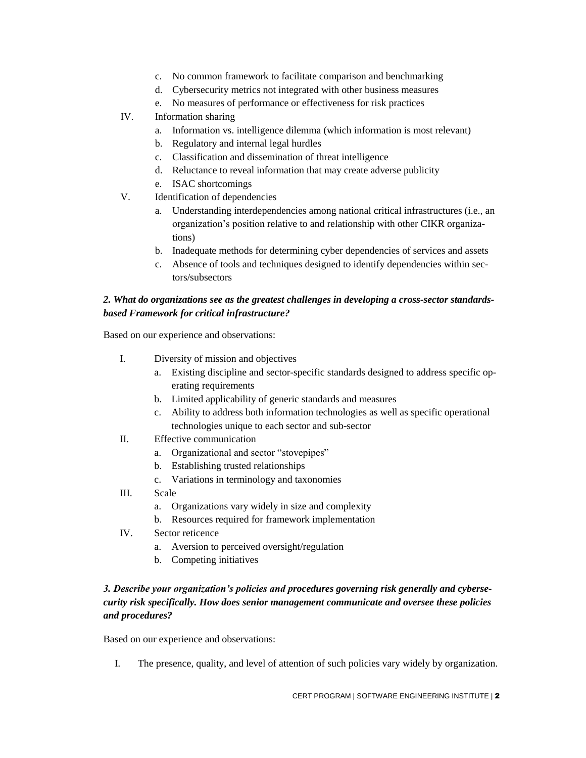- c. No common framework to facilitate comparison and benchmarking
- d. Cybersecurity metrics not integrated with other business measures
- e. No measures of performance or effectiveness for risk practices
- IV. Information sharing
	- a. Information vs. intelligence dilemma (which information is most relevant)
	- b. Regulatory and internal legal hurdles
	- c. Classification and dissemination of threat intelligence
	- d. Reluctance to reveal information that may create adverse publicity
	- e. ISAC shortcomings
- V. Identification of dependencies
	- a. Understanding interdependencies among national critical infrastructures (i.e., an organization's position relative to and relationship with other CIKR organizations)
	- b. Inadequate methods for determining cyber dependencies of services and assets
	- c. Absence of tools and techniques designed to identify dependencies within sectors/subsectors

#### *2. What do organizations see as the greatest challenges in developing a cross-sector standardsbased Framework for critical infrastructure?*

Based on our experience and observations:

- I. Diversity of mission and objectives
	- a. Existing discipline and sector-specific standards designed to address specific operating requirements
	- b. Limited applicability of generic standards and measures
	- c. Ability to address both information technologies as well as specific operational technologies unique to each sector and sub-sector
- II. Effective communication
	- a. Organizational and sector "stovepipes"
	- b. Establishing trusted relationships
	- c. Variations in terminology and taxonomies
- III. Scale
	- a. Organizations vary widely in size and complexity
	- b. Resources required for framework implementation
- IV. Sector reticence
	- a. Aversion to perceived oversight/regulation
	- b. Competing initiatives

#### *3. Describe your organization's policies and procedures governing risk generally and cybersecurity risk specifically. How does senior management communicate and oversee these policies and procedures?*

Based on our experience and observations:

I. The presence, quality, and level of attention of such policies vary widely by organization.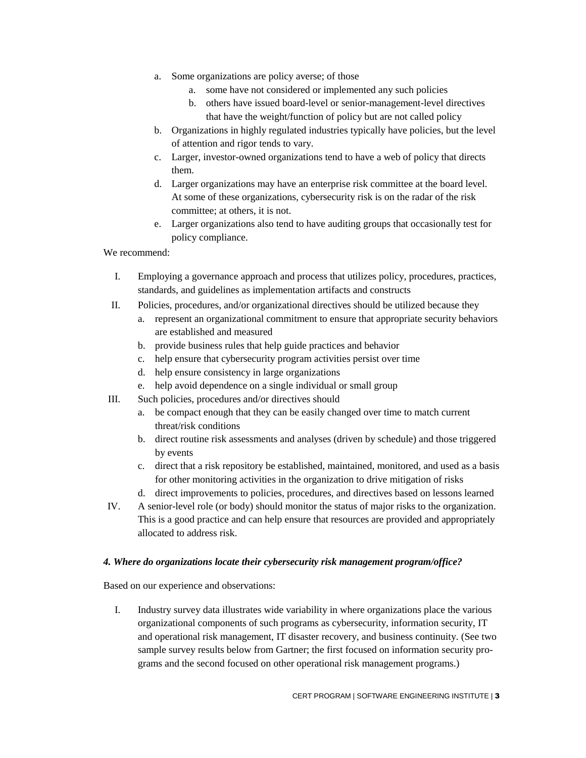- a. Some organizations are policy averse; of those
	- a. some have not considered or implemented any such policies
	- b. others have issued board-level or senior-management-level directives that have the weight/function of policy but are not called policy
- b. Organizations in highly regulated industries typically have policies, but the level of attention and rigor tends to vary.
- c. Larger, investor-owned organizations tend to have a web of policy that directs them.
- d. Larger organizations may have an enterprise risk committee at the board level. At some of these organizations, cybersecurity risk is on the radar of the risk committee; at others, it is not.
- e. Larger organizations also tend to have auditing groups that occasionally test for policy compliance.

We recommend:

- I. Employing a governance approach and process that utilizes policy, procedures, practices, standards, and guidelines as implementation artifacts and constructs
- II. Policies, procedures, and/or organizational directives should be utilized because they
	- a. represent an organizational commitment to ensure that appropriate security behaviors are established and measured
	- b. provide business rules that help guide practices and behavior
	- c. help ensure that cybersecurity program activities persist over time
	- d. help ensure consistency in large organizations
	- e. help avoid dependence on a single individual or small group
- III. Such policies, procedures and/or directives should
	- a. be compact enough that they can be easily changed over time to match current threat/risk conditions
	- b. direct routine risk assessments and analyses (driven by schedule) and those triggered by events
	- c. direct that a risk repository be established, maintained, monitored, and used as a basis for other monitoring activities in the organization to drive mitigation of risks
	- d. direct improvements to policies, procedures, and directives based on lessons learned
- IV. A senior-level role (or body) should monitor the status of major risks to the organization. This is a good practice and can help ensure that resources are provided and appropriately allocated to address risk.

#### *4. Where do organizations locate their cybersecurity risk management program/office?*

Based on our experience and observations:

I. Industry survey data illustrates wide variability in where organizations place the various organizational components of such programs as cybersecurity, information security, IT and operational risk management, IT disaster recovery, and business continuity. (See two sample survey results below from Gartner; the first focused on information security programs and the second focused on other operational risk management programs.)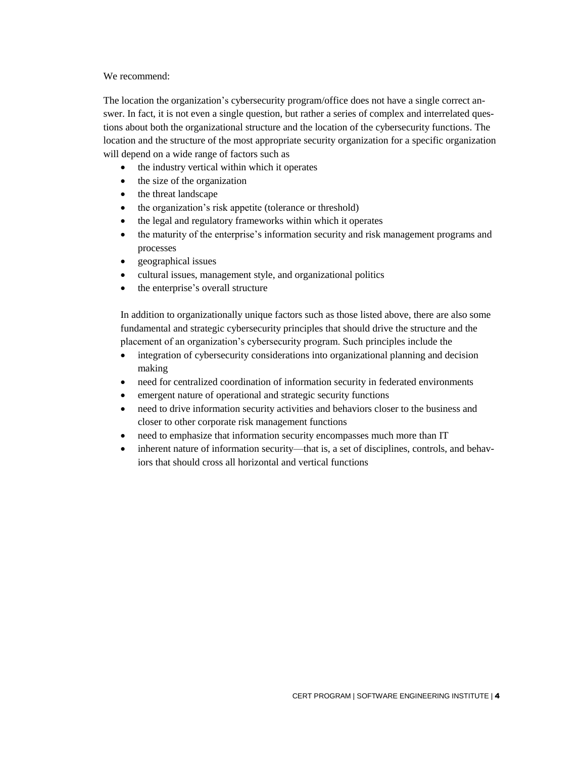#### We recommend:

The location the organization's cybersecurity program/office does not have a single correct answer. In fact, it is not even a single question, but rather a series of complex and interrelated questions about both the organizational structure and the location of the cybersecurity functions. The location and the structure of the most appropriate security organization for a specific organization will depend on a wide range of factors such as

- the industry vertical within which it operates
- the size of the organization
- the threat landscape
- the organization's risk appetite (tolerance or threshold)
- the legal and regulatory frameworks within which it operates
- the maturity of the enterprise's information security and risk management programs and processes
- geographical issues
- cultural issues, management style, and organizational politics
- the enterprise's overall structure

In addition to organizationally unique factors such as those listed above, there are also some fundamental and strategic cybersecurity principles that should drive the structure and the placement of an organization's cybersecurity program. Such principles include the

- integration of cybersecurity considerations into organizational planning and decision making
- need for centralized coordination of information security in federated environments
- emergent nature of operational and strategic security functions
- need to drive information security activities and behaviors closer to the business and closer to other corporate risk management functions
- need to emphasize that information security encompasses much more than IT
- inherent nature of information security—that is, a set of disciplines, controls, and behaviors that should cross all horizontal and vertical functions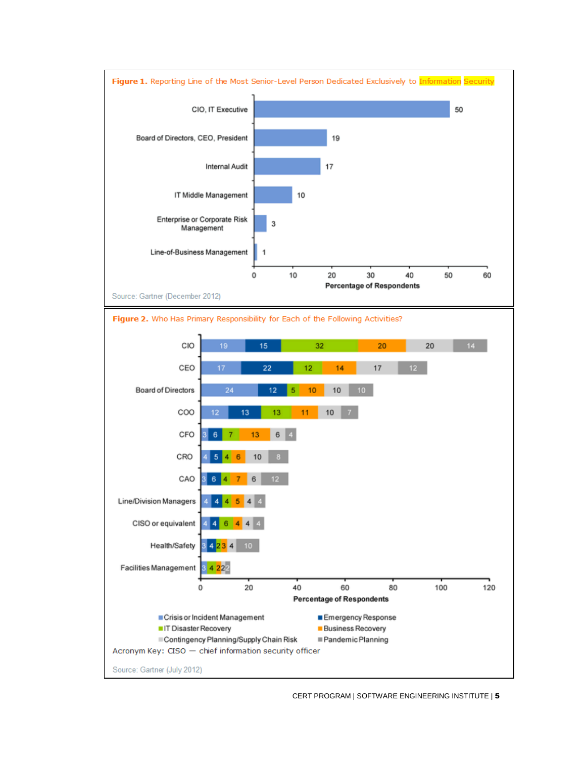

CERT PROGRAM | SOFTWARE ENGINEERING INSTITUTE | 5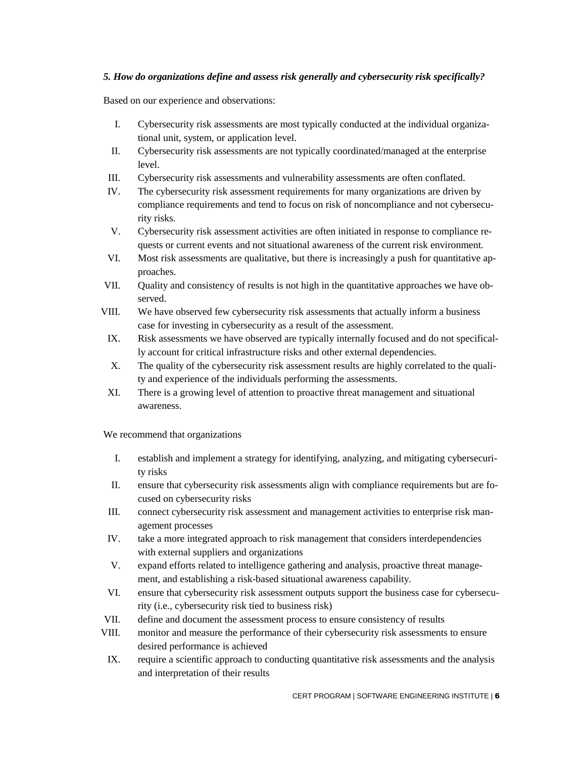#### *5. How do organizations define and assess risk generally and cybersecurity risk specifically?*

Based on our experience and observations:

- I. Cybersecurity risk assessments are most typically conducted at the individual organizational unit, system, or application level.
- II. Cybersecurity risk assessments are not typically coordinated/managed at the enterprise level.
- III. Cybersecurity risk assessments and vulnerability assessments are often conflated.
- IV. The cybersecurity risk assessment requirements for many organizations are driven by compliance requirements and tend to focus on risk of noncompliance and not cybersecurity risks.
- V. Cybersecurity risk assessment activities are often initiated in response to compliance requests or current events and not situational awareness of the current risk environment.
- VI. Most risk assessments are qualitative, but there is increasingly a push for quantitative approaches.
- VII. Quality and consistency of results is not high in the quantitative approaches we have observed.
- VIII. We have observed few cybersecurity risk assessments that actually inform a business case for investing in cybersecurity as a result of the assessment.
- IX. Risk assessments we have observed are typically internally focused and do not specifically account for critical infrastructure risks and other external dependencies.
- X. The quality of the cybersecurity risk assessment results are highly correlated to the quality and experience of the individuals performing the assessments.
- XI. There is a growing level of attention to proactive threat management and situational awareness.

We recommend that organizations

- I. establish and implement a strategy for identifying, analyzing, and mitigating cybersecurity risks
- II. ensure that cybersecurity risk assessments align with compliance requirements but are focused on cybersecurity risks
- III. connect cybersecurity risk assessment and management activities to enterprise risk management processes
- IV. take a more integrated approach to risk management that considers interdependencies with external suppliers and organizations
- V. expand efforts related to intelligence gathering and analysis, proactive threat management, and establishing a risk-based situational awareness capability.
- VI. ensure that cybersecurity risk assessment outputs support the business case for cybersecurity (i.e., cybersecurity risk tied to business risk)
- VII. define and document the assessment process to ensure consistency of results
- VIII. monitor and measure the performance of their cybersecurity risk assessments to ensure desired performance is achieved
- IX. require a scientific approach to conducting quantitative risk assessments and the analysis and interpretation of their results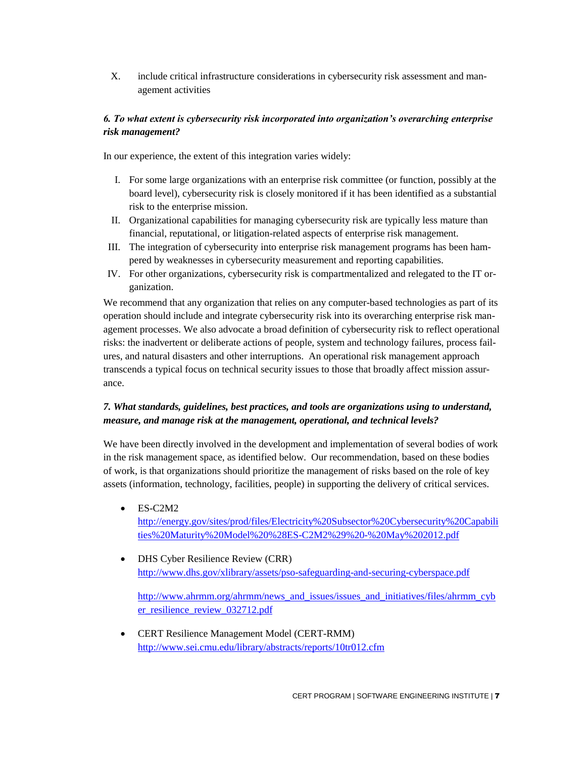X. include critical infrastructure considerations in cybersecurity risk assessment and management activities

#### *6. To what extent is cybersecurity risk incorporated into organization's overarching enterprise risk management?*

In our experience, the extent of this integration varies widely:

- I. For some large organizations with an enterprise risk committee (or function, possibly at the board level), cybersecurity risk is closely monitored if it has been identified as a substantial risk to the enterprise mission.
- II. Organizational capabilities for managing cybersecurity risk are typically less mature than financial, reputational, or litigation-related aspects of enterprise risk management.
- III. The integration of cybersecurity into enterprise risk management programs has been hampered by weaknesses in cybersecurity measurement and reporting capabilities.
- IV. For other organizations, cybersecurity risk is compartmentalized and relegated to the IT organization.

We recommend that any organization that relies on any computer-based technologies as part of its operation should include and integrate cybersecurity risk into its overarching enterprise risk management processes. We also advocate a broad definition of cybersecurity risk to reflect operational risks: the inadvertent or deliberate actions of people, system and technology failures, process failures, and natural disasters and other interruptions. An operational risk management approach transcends a typical focus on technical security issues to those that broadly affect mission assurance.

# *7. What standards, guidelines, best practices, and tools are organizations using to understand, measure, and manage risk at the management, operational, and technical levels?*

We have been directly involved in the development and implementation of several bodies of work in the risk management space, as identified below. Our recommendation, based on these bodies of work, is that organizations should prioritize the management of risks based on the role of key assets (information, technology, facilities, people) in supporting the delivery of critical services.

- $\bullet$  ES-C2M2 [http://energy.gov/sites/prod/files/Electricity%20Subsector%20Cybersecurity%20Capabili](http://energy.gov/sites/prod/files/Electricity%20Subsector%20Cybersecurity%20Capabilities%20Maturity%20Model%20%28ES-C2M2%29%20-%20May%202012.pdf) [ties%20Maturity%20Model%20%28ES-C2M2%29%20-%20May%202012.pdf](http://energy.gov/sites/prod/files/Electricity%20Subsector%20Cybersecurity%20Capabilities%20Maturity%20Model%20%28ES-C2M2%29%20-%20May%202012.pdf)
- DHS Cyber Resilience Review (CRR) <http://www.dhs.gov/xlibrary/assets/pso-safeguarding-and-securing-cyberspace.pdf>

[http://www.ahrmm.org/ahrmm/news\\_and\\_issues/issues\\_and\\_initiatives/files/ahrmm\\_cyb](http://www.ahrmm.org/ahrmm/news_and_issues/issues_and_initiatives/files/ahrmm_cyber_resilience_review_032712.pdf) [er\\_resilience\\_review\\_032712.pdf](http://www.ahrmm.org/ahrmm/news_and_issues/issues_and_initiatives/files/ahrmm_cyber_resilience_review_032712.pdf)

 CERT Resilience Management Model (CERT-RMM) <http://www.sei.cmu.edu/library/abstracts/reports/10tr012.cfm>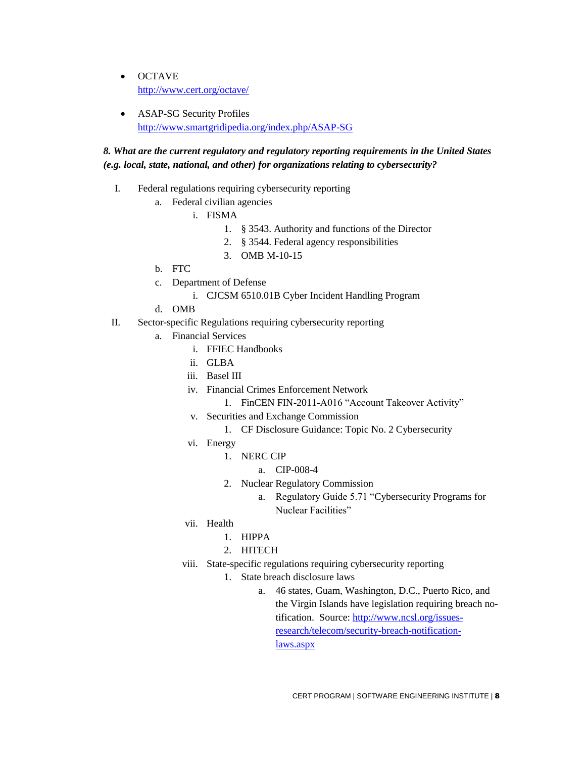- OCTAVE <http://www.cert.org/octave/>
- ASAP-SG Security Profiles <http://www.smartgridipedia.org/index.php/ASAP-SG>

### *8. What are the current regulatory and regulatory reporting requirements in the United States (e.g. local, state, national, and other) for organizations relating to cybersecurity?*

- I. Federal regulations requiring cybersecurity reporting
	- a. Federal civilian agencies
		- i. FISMA
			- 1. § 3543. Authority and functions of the Director
			- 2. § 3544. Federal agency responsibilities
			- 3. OMB M-10-15
	- b. FTC
	- c. Department of Defense
		- i. CJCSM 6510.01B Cyber Incident Handling Program
	- d. OMB
- II. Sector-specific Regulations requiring cybersecurity reporting
	- a. Financial Services
		- i. FFIEC Handbooks
		- ii. GLBA
		- iii. Basel III
		- iv. Financial Crimes Enforcement Network
			- 1. FinCEN FIN-2011-A016 "Account Takeover Activity"
		- v. Securities and Exchange Commission
			- 1. CF Disclosure Guidance: Topic No. 2 Cybersecurity
		- vi. Energy
			- 1. NERC CIP
				- a. CIP-008-4
			- 2. Nuclear Regulatory Commission
				- a. Regulatory Guide 5.71 "Cybersecurity Programs for Nuclear Facilities"
		- vii. Health
			- 1. HIPPA
			- 2. HITECH
		- viii. State-specific regulations requiring cybersecurity reporting
			- 1. State breach disclosure laws
				- a. 46 states, Guam, Washington, D.C., Puerto Rico, and the Virgin Islands have legislation requiring breach notification. Source[: http://www.ncsl.org/issues](http://www.ncsl.org/issues-research/telecom/security-breach-notification-laws.aspx)[research/telecom/security-breach-notification](http://www.ncsl.org/issues-research/telecom/security-breach-notification-laws.aspx)[laws.aspx](http://www.ncsl.org/issues-research/telecom/security-breach-notification-laws.aspx)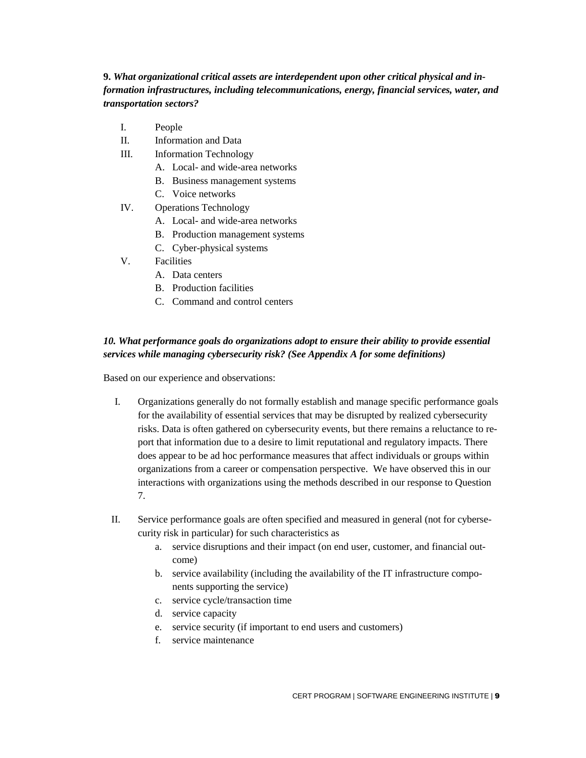**9.** *What organizational critical assets are interdependent upon other critical physical and information infrastructures, including telecommunications, energy, financial services, water, and transportation sectors?*

- I. People
- II. Information and Data
- III. Information Technology
	- A. Local- and wide-area networks
	- B. Business management systems
	- C. Voice networks
- IV. Operations Technology
	- A. Local- and wide-area networks
	- B. Production management systems
	- C. Cyber-physical systems
- V. Facilities
	- A. Data centers
	- B. Production facilities
	- C. Command and control centers

#### *10. What performance goals do organizations adopt to ensure their ability to provide essential services while managing cybersecurity risk? (See Appendix A for some definitions)*

Based on our experience and observations:

- I. Organizations generally do not formally establish and manage specific performance goals for the availability of essential services that may be disrupted by realized cybersecurity risks. Data is often gathered on cybersecurity events, but there remains a reluctance to report that information due to a desire to limit reputational and regulatory impacts. There does appear to be ad hoc performance measures that affect individuals or groups within organizations from a career or compensation perspective. We have observed this in our interactions with organizations using the methods described in our response to Question 7.
- II. Service performance goals are often specified and measured in general (not for cybersecurity risk in particular) for such characteristics as
	- a. service disruptions and their impact (on end user, customer, and financial outcome)
	- b. service availability (including the availability of the IT infrastructure components supporting the service)
	- c. service cycle/transaction time
	- d. service capacity
	- e. service security (if important to end users and customers)
	- f. service maintenance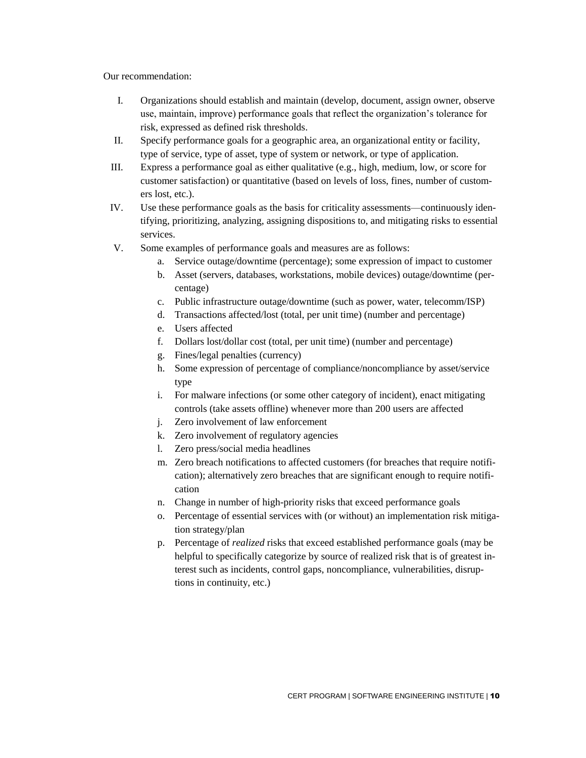Our recommendation:

- I. Organizations should establish and maintain (develop, document, assign owner, observe use, maintain, improve) performance goals that reflect the organization's tolerance for risk, expressed as defined risk thresholds.
- II. Specify performance goals for a geographic area, an organizational entity or facility, type of service, type of asset, type of system or network, or type of application.
- III. Express a performance goal as either qualitative (e.g., high, medium, low, or score for customer satisfaction) or quantitative (based on levels of loss, fines, number of customers lost, etc.).
- IV. Use these performance goals as the basis for criticality assessments—continuously identifying, prioritizing, analyzing, assigning dispositions to, and mitigating risks to essential services.
- V. Some examples of performance goals and measures are as follows:
	- a. Service outage/downtime (percentage); some expression of impact to customer
	- b. Asset (servers, databases, workstations, mobile devices) outage/downtime (percentage)
	- c. Public infrastructure outage/downtime (such as power, water, telecomm/ISP)
	- d. Transactions affected/lost (total, per unit time) (number and percentage)
	- e. Users affected
	- f. Dollars lost/dollar cost (total, per unit time) (number and percentage)
	- g. Fines/legal penalties (currency)
	- h. Some expression of percentage of compliance/noncompliance by asset/service type
	- i. For malware infections (or some other category of incident), enact mitigating controls (take assets offline) whenever more than 200 users are affected
	- j. Zero involvement of law enforcement
	- k. Zero involvement of regulatory agencies
	- l. Zero press/social media headlines
	- m. Zero breach notifications to affected customers (for breaches that require notification); alternatively zero breaches that are significant enough to require notification
	- n. Change in number of high-priority risks that exceed performance goals
	- o. Percentage of essential services with (or without) an implementation risk mitigation strategy/plan
	- p. Percentage of *realized* risks that exceed established performance goals (may be helpful to specifically categorize by source of realized risk that is of greatest interest such as incidents, control gaps, noncompliance, vulnerabilities, disruptions in continuity, etc.)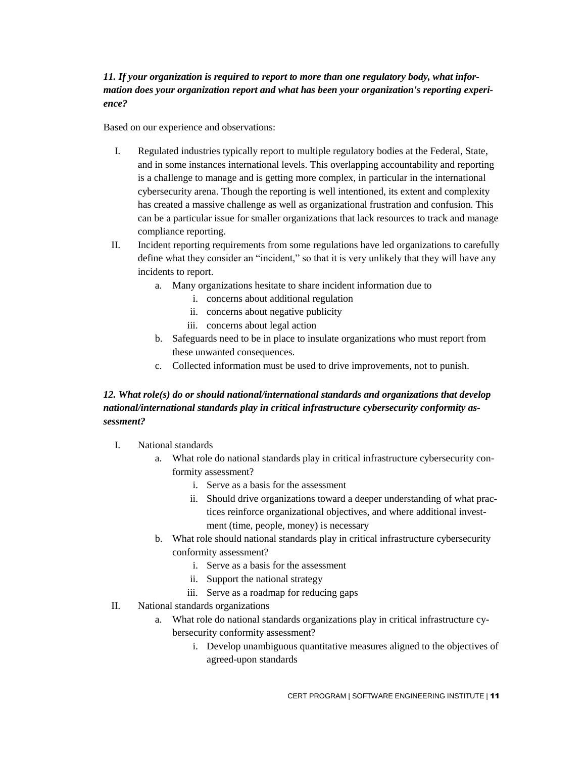### *11. If your organization is required to report to more than one regulatory body, what information does your organization report and what has been your organization's reporting experience?*

Based on our experience and observations:

- I. Regulated industries typically report to multiple regulatory bodies at the Federal, State, and in some instances international levels. This overlapping accountability and reporting is a challenge to manage and is getting more complex, in particular in the international cybersecurity arena. Though the reporting is well intentioned, its extent and complexity has created a massive challenge as well as organizational frustration and confusion. This can be a particular issue for smaller organizations that lack resources to track and manage compliance reporting.
- II. Incident reporting requirements from some regulations have led organizations to carefully define what they consider an "incident," so that it is very unlikely that they will have any incidents to report.
	- a. Many organizations hesitate to share incident information due to
		- i. concerns about additional regulation
		- ii. concerns about negative publicity
		- iii. concerns about legal action
	- b. Safeguards need to be in place to insulate organizations who must report from these unwanted consequences.
	- c. Collected information must be used to drive improvements, not to punish.

# *12. What role(s) do or should national/international standards and organizations that develop national/international standards play in critical infrastructure cybersecurity conformity assessment?*

- I. National standards
	- a. What role do national standards play in critical infrastructure cybersecurity conformity assessment?
		- i. Serve as a basis for the assessment
		- ii. Should drive organizations toward a deeper understanding of what practices reinforce organizational objectives, and where additional investment (time, people, money) is necessary
	- b. What role should national standards play in critical infrastructure cybersecurity conformity assessment?
		- i. Serve as a basis for the assessment
		- ii. Support the national strategy
		- iii. Serve as a roadmap for reducing gaps
- II. National standards organizations
	- a. What role do national standards organizations play in critical infrastructure cybersecurity conformity assessment?
		- i. Develop unambiguous quantitative measures aligned to the objectives of agreed-upon standards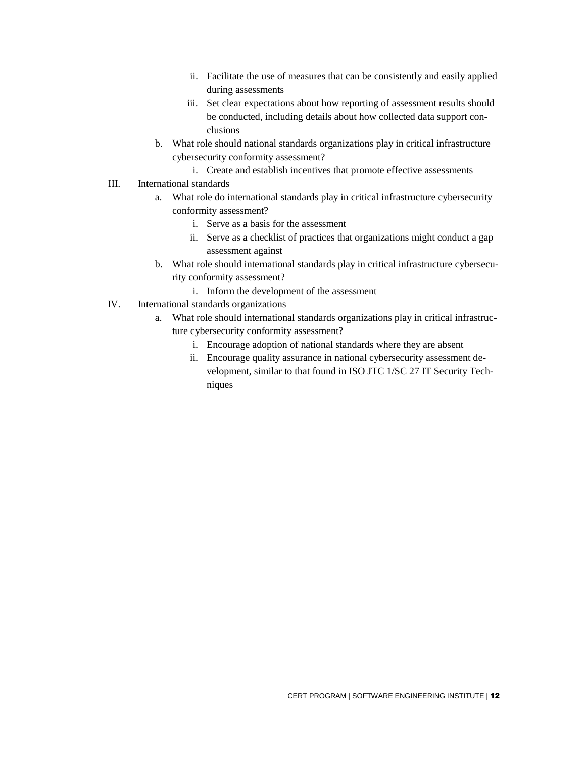- ii. Facilitate the use of measures that can be consistently and easily applied during assessments
- iii. Set clear expectations about how reporting of assessment results should be conducted, including details about how collected data support conclusions
- b. What role should national standards organizations play in critical infrastructure cybersecurity conformity assessment?
	- i. Create and establish incentives that promote effective assessments
- III. International standards
	- a. What role do international standards play in critical infrastructure cybersecurity conformity assessment?
		- i. Serve as a basis for the assessment
		- ii. Serve as a checklist of practices that organizations might conduct a gap assessment against
	- b. What role should international standards play in critical infrastructure cybersecurity conformity assessment?
		- i. Inform the development of the assessment
- IV. International standards organizations
	- a. What role should international standards organizations play in critical infrastructure cybersecurity conformity assessment?
		- i. Encourage adoption of national standards where they are absent
		- ii. Encourage quality assurance in national cybersecurity assessment development, similar to that found in ISO JTC 1/SC 27 IT Security Techniques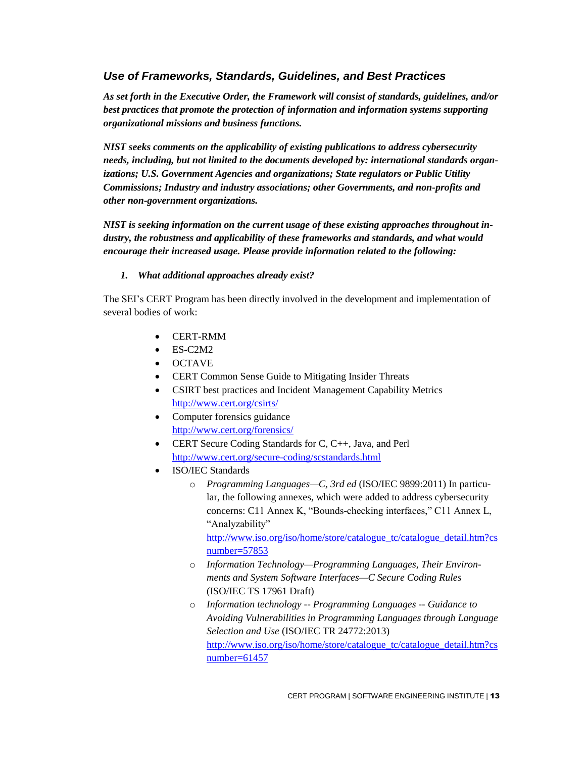# <span id="page-15-0"></span>*Use of Frameworks, Standards, Guidelines, and Best Practices*

*As set forth in the Executive Order, the Framework will consist of standards, guidelines, and/or best practices that promote the protection of information and information systems supporting organizational missions and business functions.*

*NIST seeks comments on the applicability of existing publications to address cybersecurity needs, including, but not limited to the documents developed by: international standards organizations; U.S. Government Agencies and organizations; State regulators or Public Utility Commissions; Industry and industry associations; other Governments, and non-profits and other non-government organizations.*

*NIST is seeking information on the current usage of these existing approaches throughout industry, the robustness and applicability of these frameworks and standards, and what would encourage their increased usage. Please provide information related to the following:*

#### *1. What additional approaches already exist?*

The SEI's CERT Program has been directly involved in the development and implementation of several bodies of work:

- CERT-RMM
- $\bullet$  ES-C2M2
- OCTAVE
- CERT Common Sense Guide to Mitigating Insider Threats
- CSIRT best practices and Incident Management Capability Metrics <http://www.cert.org/csirts/>
- Computer forensics guidance <http://www.cert.org/forensics/>
- CERT Secure Coding Standards for C, C++, Java, and Perl <http://www.cert.org/secure-coding/scstandards.html>
	- ISO/IEC Standards
		- o *Programming Languages—C, 3rd ed* (ISO/IEC 9899:2011) In particular, the following annexes, which were added to address cybersecurity concerns: C11 Annex K, "Bounds-checking interfaces," C11 Annex L, "Analyzability"

[http://www.iso.org/iso/home/store/catalogue\\_tc/catalogue\\_detail.htm?cs](http://www.iso.org/iso/home/store/catalogue_tc/catalogue_detail.htm?csnumber=57853) [number=57853](http://www.iso.org/iso/home/store/catalogue_tc/catalogue_detail.htm?csnumber=57853)

- o *Information Technology—Programming Languages, Their Environments and System Software Interfaces—C Secure Coding Rules* (ISO/IEC TS 17961 Draft)
- o *Information technology -- Programming Languages -- Guidance to Avoiding Vulnerabilities in Programming Languages through Language Selection and Use* (ISO/IEC TR 24772:2013) [http://www.iso.org/iso/home/store/catalogue\\_tc/catalogue\\_detail.htm?cs](http://www.iso.org/iso/home/store/catalogue_tc/catalogue_detail.htm?csnumber=61457) [number=61457](http://www.iso.org/iso/home/store/catalogue_tc/catalogue_detail.htm?csnumber=61457)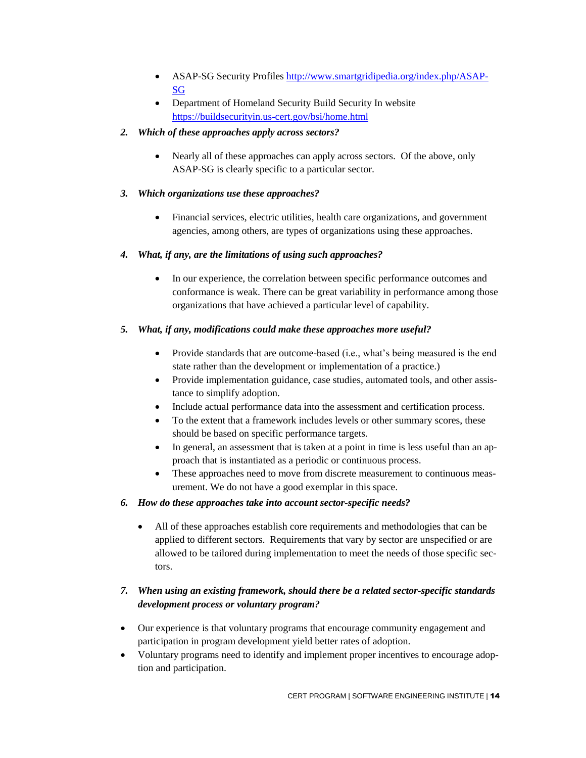- ASAP-SG Security Profiles [http://www.smartgridipedia.org/index.php/ASAP-](http://www.smartgridipedia.org/index.php/ASAP-SG)[SG](http://www.smartgridipedia.org/index.php/ASAP-SG)
- Department of Homeland Security Build Security In website <https://buildsecurityin.us-cert.gov/bsi/home.html>

#### *2. Which of these approaches apply across sectors?*

• Nearly all of these approaches can apply across sectors. Of the above, only ASAP-SG is clearly specific to a particular sector.

#### *3. Which organizations use these approaches?*

 Financial services, electric utilities, health care organizations, and government agencies, among others, are types of organizations using these approaches.

#### *4. What, if any, are the limitations of using such approaches?*

 In our experience, the correlation between specific performance outcomes and conformance is weak. There can be great variability in performance among those organizations that have achieved a particular level of capability.

#### *5. What, if any, modifications could make these approaches more useful?*

- Provide standards that are outcome-based (i.e., what's being measured is the end state rather than the development or implementation of a practice.)
- Provide implementation guidance, case studies, automated tools, and other assistance to simplify adoption.
- Include actual performance data into the assessment and certification process.
- To the extent that a framework includes levels or other summary scores, these should be based on specific performance targets.
- In general, an assessment that is taken at a point in time is less useful than an approach that is instantiated as a periodic or continuous process.
- These approaches need to move from discrete measurement to continuous measurement. We do not have a good exemplar in this space.

#### *6. How do these approaches take into account sector-specific needs?*

 All of these approaches establish core requirements and methodologies that can be applied to different sectors. Requirements that vary by sector are unspecified or are allowed to be tailored during implementation to meet the needs of those specific sectors.

# *7. When using an existing framework, should there be a related sector-specific standards development process or voluntary program?*

- Our experience is that voluntary programs that encourage community engagement and participation in program development yield better rates of adoption.
- Voluntary programs need to identify and implement proper incentives to encourage adoption and participation.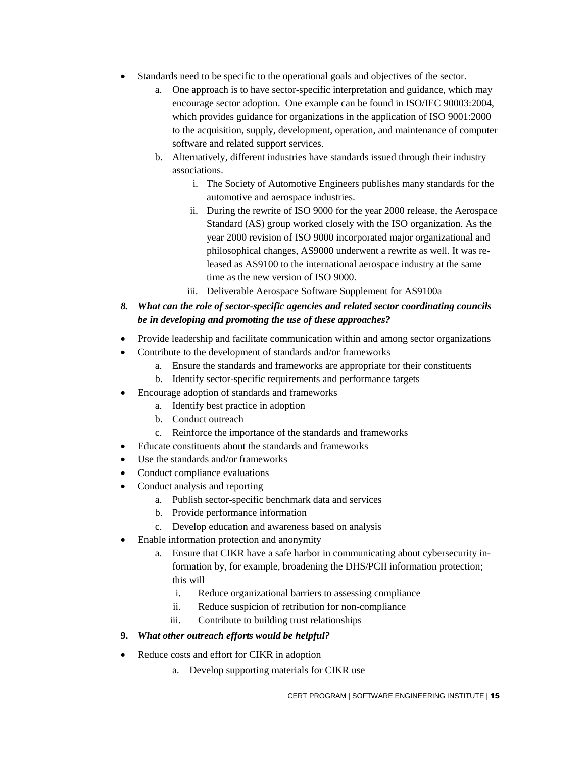- Standards need to be specific to the operational goals and objectives of the sector.
	- a. One approach is to have sector-specific interpretation and guidance, which may encourage sector adoption. One example can be found in ISO/IEC 90003:2004, which provides guidance for organizations in the application of ISO 9001:2000 to the acquisition, supply, development, operation, and maintenance of computer software and related support services.
	- b. Alternatively, different industries have standards issued through their industry associations.
		- i. The Society of Automotive Engineers publishes many standards for the automotive and aerospace industries.
		- ii. During the rewrite of ISO 9000 for the year 2000 release, the Aerospace Standard (AS) group worked closely with the ISO organization. As the year 2000 revision of ISO 9000 incorporated major organizational and philosophical changes, AS9000 underwent a rewrite as well. It was released as AS9100 to the international aerospace industry at the same time as the new version of ISO 9000.
		- iii. Deliverable Aerospace Software Supplement for AS9100a
- *8. What can the role of sector-specific agencies and related sector coordinating councils be in developing and promoting the use of these approaches?*
- Provide leadership and facilitate communication within and among sector organizations
- Contribute to the development of standards and/or frameworks
	- a. Ensure the standards and frameworks are appropriate for their constituents
	- b. Identify sector-specific requirements and performance targets
- Encourage adoption of standards and frameworks
	- a. Identify best practice in adoption
	- b. Conduct outreach
	- c. Reinforce the importance of the standards and frameworks
- Educate constituents about the standards and frameworks
- Use the standards and/or frameworks
- Conduct compliance evaluations
- Conduct analysis and reporting
	- a. Publish sector-specific benchmark data and services
	- b. Provide performance information
	- c. Develop education and awareness based on analysis
- Enable information protection and anonymity
	- a. Ensure that CIKR have a safe harbor in communicating about cybersecurity information by, for example, broadening the DHS/PCII information protection; this will
		- i. Reduce organizational barriers to assessing compliance
		- ii. Reduce suspicion of retribution for non-compliance
		- iii. Contribute to building trust relationships

#### **9.** *What other outreach efforts would be helpful?*

- Reduce costs and effort for CIKR in adoption
	- a. Develop supporting materials for CIKR use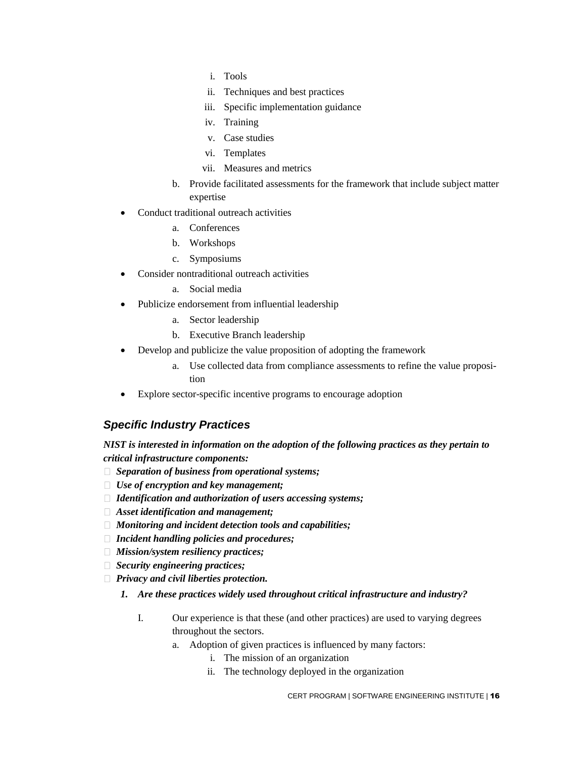- i. Tools
- ii. Techniques and best practices
- iii. Specific implementation guidance
- iv. Training
- v. Case studies
- vi. Templates
- vii. Measures and metrics
- b. Provide facilitated assessments for the framework that include subject matter expertise
- Conduct traditional outreach activities
	- a. Conferences
	- b. Workshops
	- c. Symposiums
- Consider nontraditional outreach activities
	- a. Social media
- Publicize endorsement from influential leadership
	- a. Sector leadership
	- b. Executive Branch leadership
- Develop and publicize the value proposition of adopting the framework
	- a. Use collected data from compliance assessments to refine the value proposition
- Explore sector-specific incentive programs to encourage adoption

# <span id="page-18-0"></span>*Specific Industry Practices*

*NIST is interested in information on the adoption of the following practices as they pertain to critical infrastructure components:*

- *Separation of business from operational systems;*
- *Use of encryption and key management;*
- *Identification and authorization of users accessing systems;*
- *Asset identification and management;*
- *Monitoring and incident detection tools and capabilities;*
- *Incident handling policies and procedures;*
- *Mission/system resiliency practices;*
- *Security engineering practices;*
- *Privacy and civil liberties protection.*
	- *1. Are these practices widely used throughout critical infrastructure and industry?*
		- I. Our experience is that these (and other practices) are used to varying degrees throughout the sectors.
			- a. Adoption of given practices is influenced by many factors:
				- i. The mission of an organization
				- ii. The technology deployed in the organization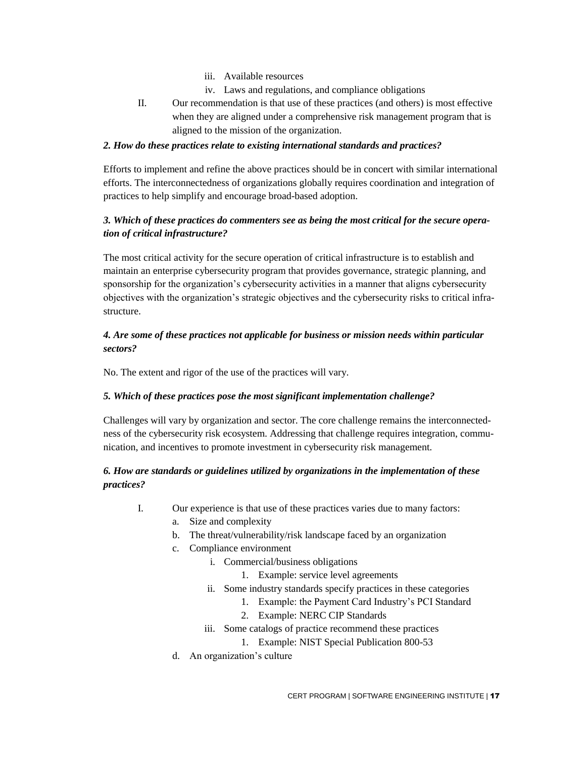- iii. Available resources
- iv. Laws and regulations, and compliance obligations
- II. Our recommendation is that use of these practices (and others) is most effective when they are aligned under a comprehensive risk management program that is aligned to the mission of the organization.

#### *2. How do these practices relate to existing international standards and practices?*

Efforts to implement and refine the above practices should be in concert with similar international efforts. The interconnectedness of organizations globally requires coordination and integration of practices to help simplify and encourage broad-based adoption.

### *3. Which of these practices do commenters see as being the most critical for the secure operation of critical infrastructure?*

The most critical activity for the secure operation of critical infrastructure is to establish and maintain an enterprise cybersecurity program that provides governance, strategic planning, and sponsorship for the organization's cybersecurity activities in a manner that aligns cybersecurity objectives with the organization's strategic objectives and the cybersecurity risks to critical infrastructure.

#### *4. Are some of these practices not applicable for business or mission needs within particular sectors?*

No. The extent and rigor of the use of the practices will vary.

#### *5. Which of these practices pose the most significant implementation challenge?*

Challenges will vary by organization and sector. The core challenge remains the interconnectedness of the cybersecurity risk ecosystem. Addressing that challenge requires integration, communication, and incentives to promote investment in cybersecurity risk management.

#### *6. How are standards or guidelines utilized by organizations in the implementation of these practices?*

- I. Our experience is that use of these practices varies due to many factors:
	- a. Size and complexity
	- b. The threat/vulnerability/risk landscape faced by an organization
	- c. Compliance environment
		- i. Commercial/business obligations
			- 1. Example: service level agreements
		- ii. Some industry standards specify practices in these categories
			- 1. Example: the Payment Card Industry's PCI Standard
			- 2. Example: NERC CIP Standards
		- iii. Some catalogs of practice recommend these practices
			- 1. Example: NIST Special Publication 800-53
	- d. An organization's culture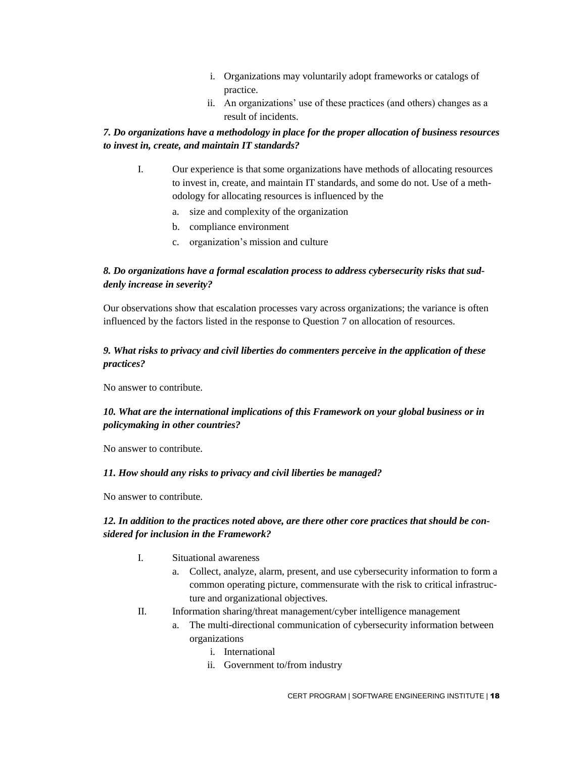- i. Organizations may voluntarily adopt frameworks or catalogs of practice.
- ii. An organizations' use of these practices (and others) changes as a result of incidents.

#### *7. Do organizations have a methodology in place for the proper allocation of business resources to invest in, create, and maintain IT standards?*

- I. Our experience is that some organizations have methods of allocating resources to invest in, create, and maintain IT standards, and some do not. Use of a methodology for allocating resources is influenced by the
	- a. size and complexity of the organization
	- b. compliance environment
	- c. organization's mission and culture

### *8. Do organizations have a formal escalation process to address cybersecurity risks that suddenly increase in severity?*

Our observations show that escalation processes vary across organizations; the variance is often influenced by the factors listed in the response to Question 7 on allocation of resources.

#### *9. What risks to privacy and civil liberties do commenters perceive in the application of these practices?*

No answer to contribute.

#### *10. What are the international implications of this Framework on your global business or in policymaking in other countries?*

No answer to contribute.

#### *11. How should any risks to privacy and civil liberties be managed?*

No answer to contribute.

#### *12. In addition to the practices noted above, are there other core practices that should be considered for inclusion in the Framework?*

- I. Situational awareness
	- a. Collect, analyze, alarm, present, and use cybersecurity information to form a common operating picture, commensurate with the risk to critical infrastructure and organizational objectives.
- II. Information sharing/threat management/cyber intelligence management
	- a. The multi-directional communication of cybersecurity information between organizations
		- i. International
		- ii. Government to/from industry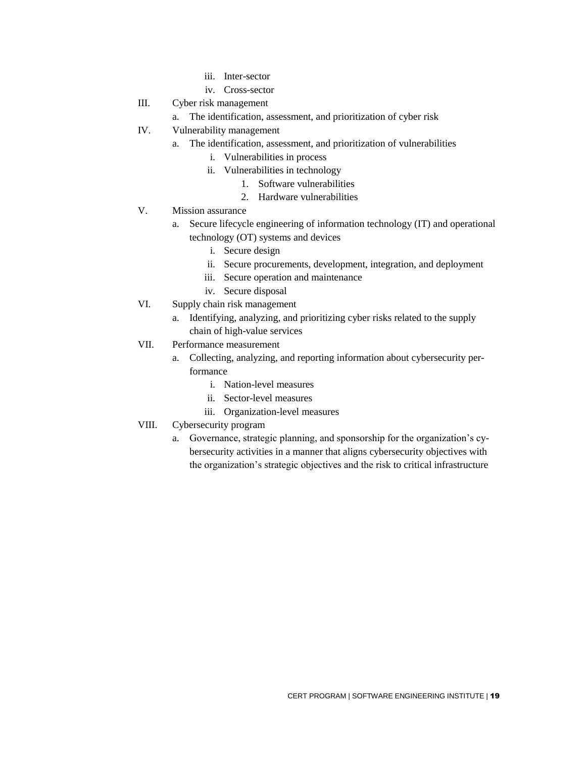- iii. Inter-sector
- iv. Cross-sector
- III. Cyber risk management
	- a. The identification, assessment, and prioritization of cyber risk
- IV. Vulnerability management
	- a. The identification, assessment, and prioritization of vulnerabilities
		- i. Vulnerabilities in process
		- ii. Vulnerabilities in technology
			- 1. Software vulnerabilities
				- 2. Hardware vulnerabilities
- V. Mission assurance
	- a. Secure lifecycle engineering of information technology (IT) and operational technology (OT) systems and devices
		- i. Secure design
		- ii. Secure procurements, development, integration, and deployment
		- iii. Secure operation and maintenance
		- iv. Secure disposal
- VI. Supply chain risk management
	- a. Identifying, analyzing, and prioritizing cyber risks related to the supply chain of high-value services
- VII. Performance measurement
	- a. Collecting, analyzing, and reporting information about cybersecurity performance
		- i. Nation-level measures
		- ii. Sector-level measures
		- iii. Organization-level measures
- VIII. Cybersecurity program
	- a. Governance, strategic planning, and sponsorship for the organization's cybersecurity activities in a manner that aligns cybersecurity objectives with the organization's strategic objectives and the risk to critical infrastructure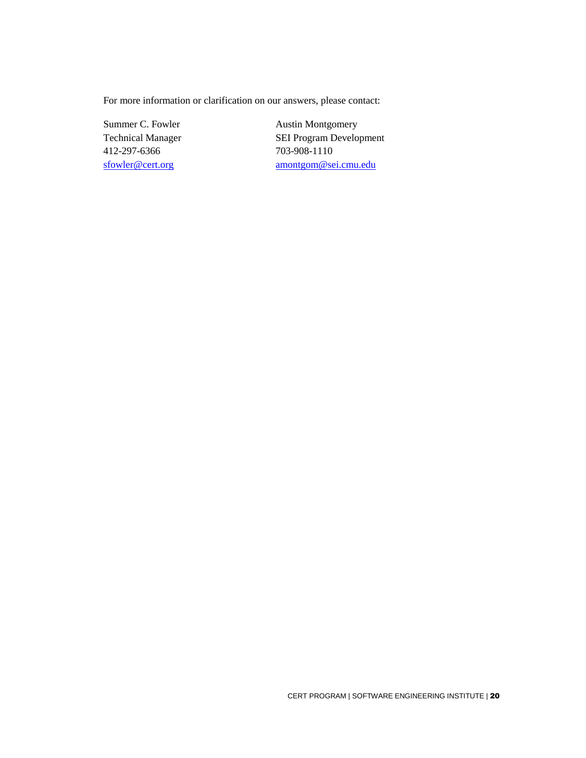For more information or clarification on our answers, please contact:

412-297-6366 703-908-1110

Summer C. Fowler Austin Montgomery Technical Manager SEI Program Development [sfowler@cert.org](mailto:sfowler@cert.org) [amontgom@sei.cmu.edu](mailto:amontgom@sei.cmu.edu)